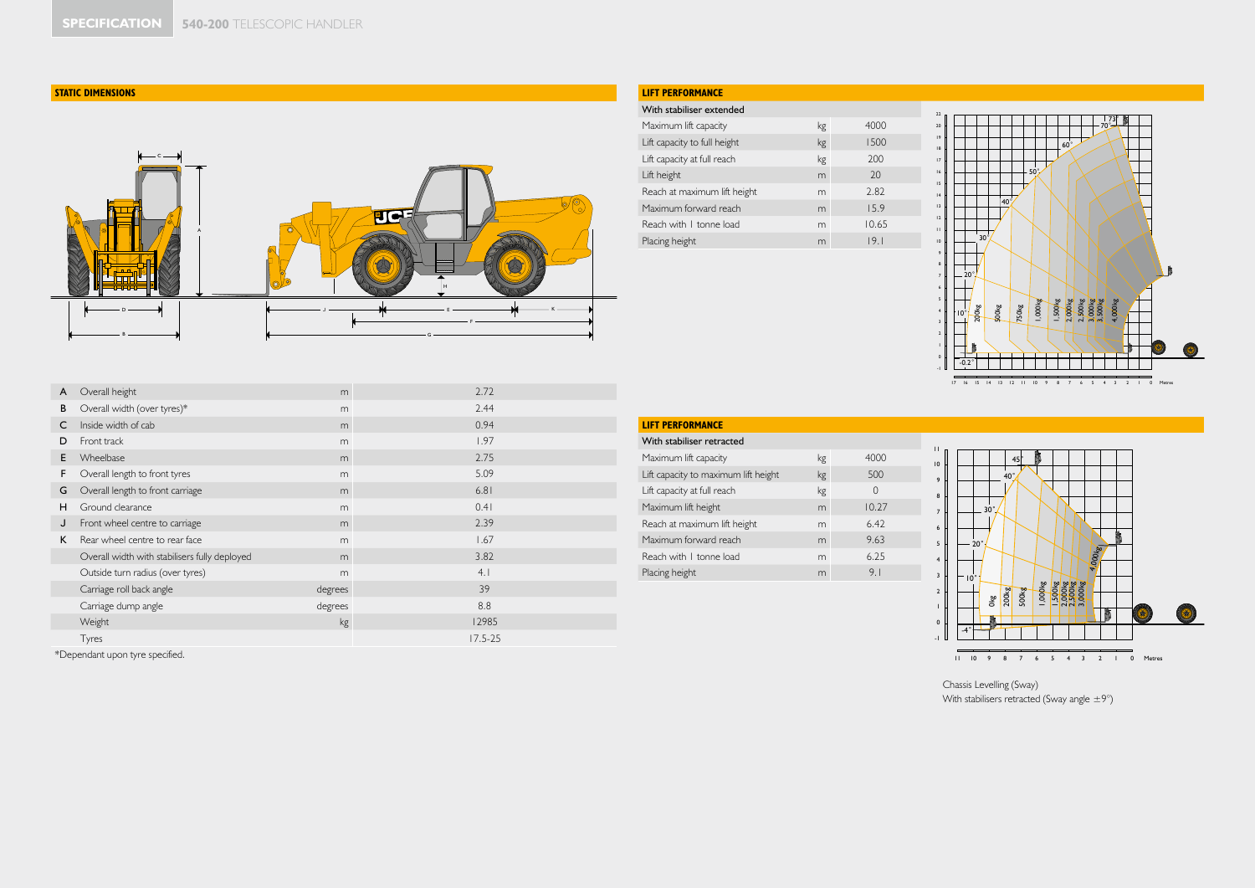## **STATIC DIMENSIONS**

\*Dependant upon tyre specified.



# **LIFT PERFORMANCE**

### With stabiliser extended

| 1111211                      |    |       |  |
|------------------------------|----|-------|--|
| Maximum lift capacity        | kg | 4000  |  |
| Lift capacity to full height | kg | 1500  |  |
| Lift capacity at full reach  | kg | 200   |  |
| Lift height                  | m  | 20    |  |
| Reach at maximum lift height | m  | 2.82  |  |
| Maximum forward reach        | m  | 15.9  |  |
| Reach with I tonne load      | m  | 10.65 |  |
| Placing height               | m  | 19.1  |  |



| A | Overall height                                | m       | 2.72        |
|---|-----------------------------------------------|---------|-------------|
| B | Overall width (over tyres)*                   | m       | 2.44        |
| C | Inside width of cab                           | m       | 0.94        |
| D | Front track                                   | m       | 1.97        |
| E | Wheelbase                                     | m       | 2.75        |
| F | Overall length to front tyres                 | m       | 5.09        |
| G | Overall length to front carriage              | m       | 6.81        |
| H | Ground clearance                              | m       | 0.41        |
| J | Front wheel centre to carriage                | m       | 2.39        |
| K | Rear wheel centre to rear face                | m       | 1.67        |
|   | Overall width with stabilisers fully deployed | m       | 3.82        |
|   | Outside turn radius (over tyres)              | m       | 4.1         |
|   | Carriage roll back angle                      | degrees | 39          |
|   | Carriage dump angle                           | degrees | 8.8         |
|   | Weight                                        | kg      | 12985       |
|   | Tyres                                         |         | $17.5 - 25$ |

# **LIFT PERFORMANCE**

| With stabiliser retracted            |    |          |
|--------------------------------------|----|----------|
| Maximum lift capacity                | kg | 4000     |
| Lift capacity to maximum lift height | kg | 500      |
| Lift capacity at full reach          | kg | $\Omega$ |
| Maximum lift height                  | m  | 10.27    |
| Reach at maximum lift height         | m  | 6.42     |
| Maximum forward reach                | m  | 9.63     |
| Reach with I tonne load              | m  | 6.25     |
| Placing height                       | m  | 9.1      |
|                                      |    |          |



Chassis Levelling (Sway) With stabilisers retracted (Sway angle  $\pm 9^{\circ}$ )